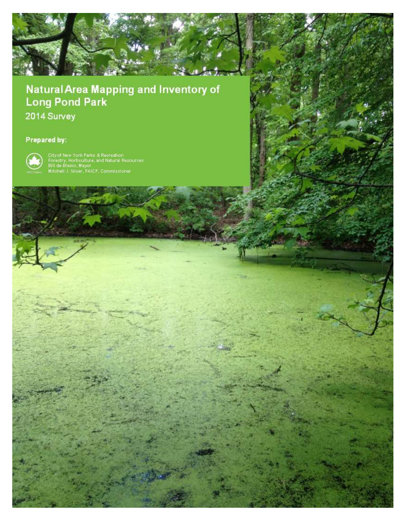

# **Natural Area Mapping and Inventory of Long Pond Park**

New York City, Parks & Recreation, Natural Resources Group

Page | 1

2014 Survey

## Prepared by:



City of New York Parks & Recreation<br>Forestry, Horticulture, and Natural Resources<br>Bill de Blasio, Mayor<br>Mitchell J. Silver, FAICP, Commissioner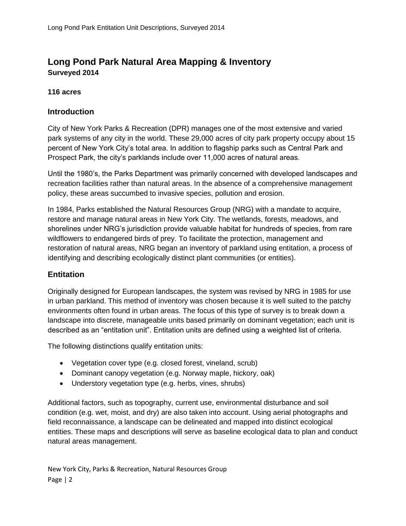## **Long Pond Park Natural Area Mapping & Inventory Surveyed 2014**

### **116 acres**

## **Introduction**

City of New York Parks & Recreation (DPR) manages one of the most extensive and varied park systems of any city in the world. These 29,000 acres of city park property occupy about 15 percent of New York City's total area. In addition to flagship parks such as Central Park and Prospect Park, the city's parklands include over 11,000 acres of natural areas.

Until the 1980's, the Parks Department was primarily concerned with developed landscapes and recreation facilities rather than natural areas. In the absence of a comprehensive management policy, these areas succumbed to invasive species, pollution and erosion.

In 1984, Parks established the Natural Resources Group (NRG) with a mandate to acquire, restore and manage natural areas in New York City. The wetlands, forests, meadows, and shorelines under NRG's jurisdiction provide valuable habitat for hundreds of species, from rare wildflowers to endangered birds of prey. To facilitate the protection, management and restoration of natural areas, NRG began an inventory of parkland using entitation, a process of identifying and describing ecologically distinct plant communities (or entities).

## **Entitation**

Originally designed for European landscapes, the system was revised by NRG in 1985 for use in urban parkland. This method of inventory was chosen because it is well suited to the patchy environments often found in urban areas. The focus of this type of survey is to break down a landscape into discrete, manageable units based primarily on dominant vegetation; each unit is described as an "entitation unit". Entitation units are defined using a weighted list of criteria.

The following distinctions qualify entitation units:

- Vegetation cover type (e.g. closed forest, vineland, scrub)
- Dominant canopy vegetation (e.g. Norway maple, hickory, oak)
- Understory vegetation type (e.g. herbs, vines, shrubs)

Additional factors, such as topography, current use, environmental disturbance and soil condition (e.g. wet, moist, and dry) are also taken into account. Using aerial photographs and field reconnaissance, a landscape can be delineated and mapped into distinct ecological entities. These maps and descriptions will serve as baseline ecological data to plan and conduct natural areas management.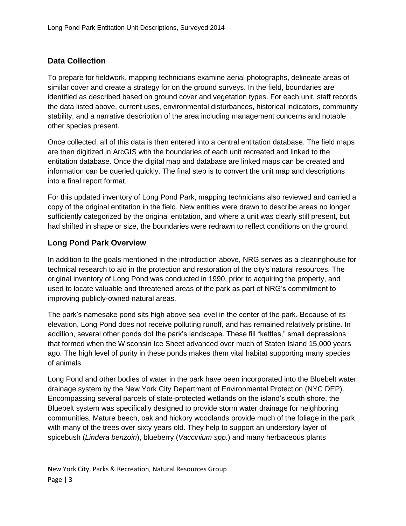## **Data Collection**

To prepare for fieldwork, mapping technicians examine aerial photographs, delineate areas of similar cover and create a strategy for on the ground surveys. In the field, boundaries are identified as described based on ground cover and vegetation types. For each unit, staff records the data listed above, current uses, environmental disturbances, historical indicators, community stability, and a narrative description of the area including management concerns and notable other species present.

Once collected, all of this data is then entered into a central entitation database. The field maps are then digitized in ArcGIS with the boundaries of each unit recreated and linked to the entitation database. Once the digital map and database are linked maps can be created and information can be queried quickly. The final step is to convert the unit map and descriptions into a final report format.

For this updated inventory of Long Pond Park, mapping technicians also reviewed and carried a copy of the original entitation in the field. New entities were drawn to describe areas no longer sufficiently categorized by the original entitation, and where a unit was clearly still present, but had shifted in shape or size, the boundaries were redrawn to reflect conditions on the ground.

## **Long Pond Park Overview**

In addition to the goals mentioned in the introduction above, NRG serves as a clearinghouse for technical research to aid in the protection and restoration of the city's natural resources. The original inventory of Long Pond was conducted in 1990, prior to acquiring the property, and used to locate valuable and threatened areas of the park as part of NRG's commitment to improving publicly-owned natural areas.

The park's namesake pond sits high above sea level in the center of the park. Because of its elevation, Long Pond does not receive polluting runoff, and has remained relatively pristine. In addition, several other ponds dot the park's landscape. These fill "kettles," small depressions that formed when the Wisconsin Ice Sheet advanced over much of Staten Island 15,000 years ago. The high level of purity in these ponds makes them vital habitat supporting many species of animals.

Long Pond and other bodies of water in the park have been incorporated into the Bluebelt water drainage system by the New York City Department of Environmental Protection (NYC DEP). Encompassing several parcels of state-protected wetlands on the island's south shore, the Bluebelt system was specifically designed to provide storm water drainage for neighboring communities. Mature beech, oak and hickory woodlands provide much of the foliage in the park, with many of the trees over sixty years old. They help to support an understory layer of spicebush (*Lindera benzoin*), blueberry (*Vaccinium spp.*) and many herbaceous plants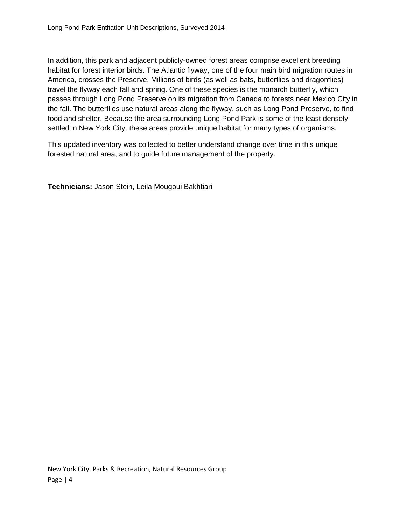In addition, this park and adjacent publicly-owned forest areas comprise excellent breeding habitat for forest interior birds. The Atlantic flyway, one of the four main bird migration routes in America, crosses the Preserve. Millions of birds (as well as bats, butterflies and dragonflies) travel the flyway each fall and spring. One of these species is the monarch butterfly, which passes through Long Pond Preserve on its migration from Canada to forests near Mexico City in the fall. The butterflies use natural areas along the flyway, such as Long Pond Preserve, to find food and shelter. Because the area surrounding Long Pond Park is some of the least densely settled in New York City, these areas provide unique habitat for many types of organisms.

This updated inventory was collected to better understand change over time in this unique forested natural area, and to guide future management of the property.

**Technicians:** Jason Stein, Leila Mougoui Bakhtiari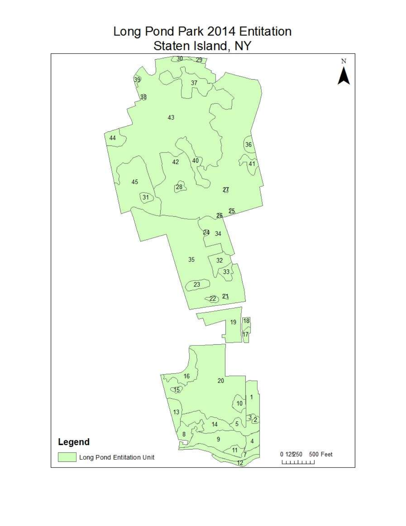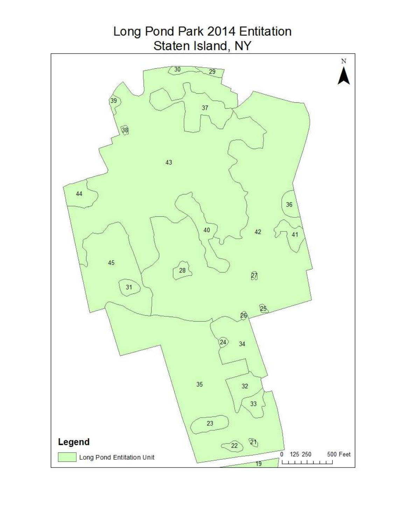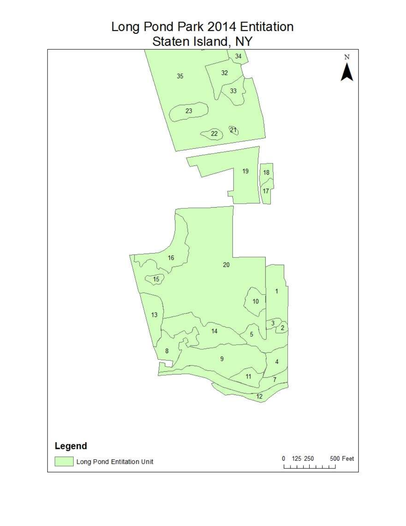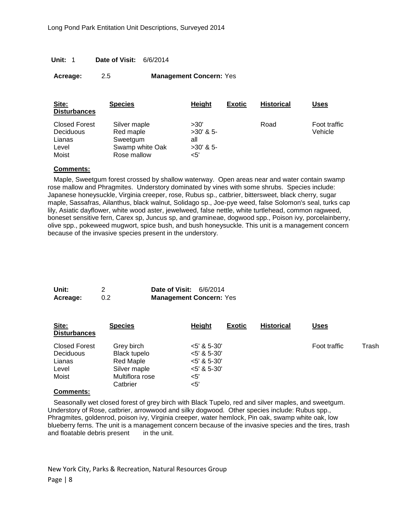| Unit: 1 |  | Date of Visit: |  | 6/6/2014 |
|---------|--|----------------|--|----------|
|---------|--|----------------|--|----------|

| Acreage: | 2.5 | <b>Management Concern: Yes</b> |
|----------|-----|--------------------------------|
|----------|-----|--------------------------------|

| Site:<br><b>Disturbances</b>                         | <b>Species</b>                                           | Height                                    | <b>Exotic</b> | <b>Historical</b> | Uses                    |
|------------------------------------------------------|----------------------------------------------------------|-------------------------------------------|---------------|-------------------|-------------------------|
| <b>Closed Forest</b><br>Deciduous<br>Lianas<br>Level | Silver maple<br>Red maple<br>Sweetgum<br>Swamp white Oak | >30'<br>$>30'$ & 5-<br>all<br>$>30'$ & 5- |               | Road              | Foot traffic<br>Vehicle |
| Moist                                                | Rose mallow                                              | $<$ 5'                                    |               |                   |                         |

Maple, Sweetgum forest crossed by shallow waterway. Open areas near and water contain swamp rose mallow and Phragmites. Understory dominated by vines with some shrubs. Species include: Japanese honeysuckle, Virginia creeper, rose, Rubus sp., catbrier, bittersweet, black cherry, sugar maple, Sassafras, Ailanthus, black walnut, Solidago sp., Joe-pye weed, false Solomon's seal, turks cap lily, Asiatic dayflower, white wood aster, jewelweed, false nettle, white turtlehead, common ragweed, boneset sensitive fern, Carex sp, Juncus sp, and gramineae, dogwood spp., Poison ivy, porcelainberry, olive spp., pokeweed mugwort, spice bush, and bush honeysuckle. This unit is a management concern because of the invasive species present in the understory.

| Unit:    |     | <b>Date of Visit: 6/6/2014</b> |  |
|----------|-----|--------------------------------|--|
| Acreage: | 0.2 | <b>Management Concern: Yes</b> |  |

| Site:<br><b>Disturbances</b>                                  | <b>Species</b>                                                                         | Height<br><b>Exotic</b>                                                            | <b>Historical</b> | <u>Uses</u>  |       |
|---------------------------------------------------------------|----------------------------------------------------------------------------------------|------------------------------------------------------------------------------------|-------------------|--------------|-------|
| <b>Closed Forest</b><br>Deciduous<br>Lianas<br>Level<br>Moist | Grey birch<br>Black tupelo<br>Red Maple<br>Silver maple<br>Multiflora rose<br>Catbrier | $<$ 5' & 5-30'<br>$<$ 5' & 5-30'<br>$<$ 5' & 5-30'<br>$<$ 5' & 5-30'<br><5'<br><5' |                   | Foot traffic | Trash |
|                                                               |                                                                                        |                                                                                    |                   |              |       |

#### **Comments:**

Seasonally wet closed forest of grey birch with Black Tupelo, red and silver maples, and sweetgum. Understory of Rose, catbrier, arrowwood and silky dogwood. Other species include: Rubus spp., Phragmites, goldenrod, poison ivy, Virginia creeper, water hemlock, Pin oak, swamp white oak, low blueberry ferns. The unit is a management concern because of the invasive species and the tires, trash and floatable debris present in the unit.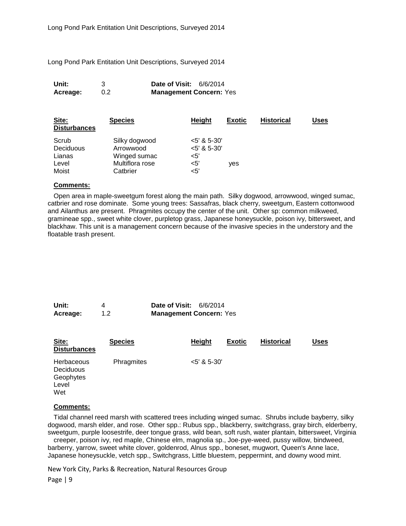Long Pond Park Entitation Unit Descriptions, Surveyed 2014

| Unit:    |     | <b>Date of Visit: 6/6/2014</b> |  |
|----------|-----|--------------------------------|--|
| Acreage: | 0.2 | <b>Management Concern: Yes</b> |  |

| Site:<br><b>Disturbances</b> | <b>Species</b>  | <b>Height</b>  | <b>Exotic</b> | <b>Historical</b> | Uses |
|------------------------------|-----------------|----------------|---------------|-------------------|------|
| Scrub                        | Silky dogwood   | $<$ 5' & 5-30' |               |                   |      |
| <b>Deciduous</b>             | Arrowwood       | $<$ 5' & 5-30' |               |                   |      |
| Lianas                       | Winged sumac    | <5'            |               |                   |      |
| Level                        | Multiflora rose | <5'            | ves           |                   |      |
| Moist                        | Catbrier        | <5'            |               |                   |      |

#### **Comments:**

Open area in maple-sweetgum forest along the main path. Silky dogwood, arrowwood, winged sumac, catbrier and rose dominate. Some young trees: Sassafras, black cherry, sweetgum, Eastern cottonwood and Ailanthus are present. Phragmites occupy the center of the unit. Other sp: common milkweed, gramineae spp., sweet white clover, purpletop grass, Japanese honeysuckle, poison ivy, bittersweet, and blackhaw. This unit is a management concern because of the invasive species in the understory and the floatable trash present.

| Unit:    |     | <b>Date of Visit: 6/6/2014</b> |  |
|----------|-----|--------------------------------|--|
| Acreage: | 1.2 | <b>Management Concern: Yes</b> |  |

| Site:<br><b>Disturbances</b>                         | <b>Species</b> | <b>Height</b>  | <b>Exotic</b> | <b>Historical</b> | <b>Uses</b> |
|------------------------------------------------------|----------------|----------------|---------------|-------------------|-------------|
| Herbaceous<br>Deciduous<br>Geophytes<br>Level<br>Wet | Phragmites     | $<$ 5' & 5-30' |               |                   |             |

#### **Comments:**

Tidal channel reed marsh with scattered trees including winged sumac. Shrubs include bayberry, silky dogwood, marsh elder, and rose. Other spp.: Rubus spp., blackberry, switchgrass, gray birch, elderberry, sweetgum, purple loosestrife, deer tongue grass, wild bean, soft rush, water plantain, bittersweet, Virginia

creeper, poison ivy, red maple, Chinese elm, magnolia sp., Joe-pye-weed, pussy willow, bindweed, barberry, yarrow, sweet white clover, goldenrod, Alnus spp., boneset, mugwort, Queen's Anne lace, Japanese honeysuckle, vetch spp., Switchgrass, Little bluestem, peppermint, and downy wood mint.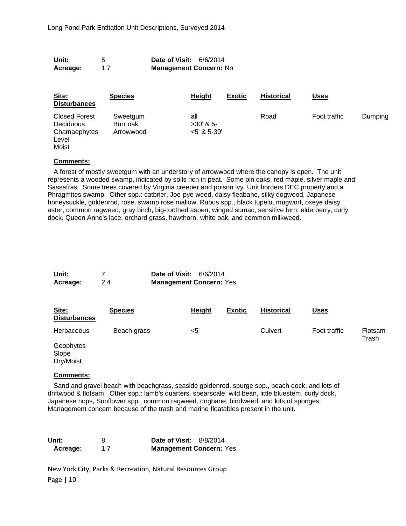| 5<br>Unit:<br>Date of Visit:<br>6/6/2014<br><b>Management Concern: No</b><br>1.7<br>Acreage: |                                   |  |                                      |               |                   |              |         |
|----------------------------------------------------------------------------------------------|-----------------------------------|--|--------------------------------------|---------------|-------------------|--------------|---------|
| Site:<br><b>Disturbances</b>                                                                 | <b>Species</b>                    |  | <b>Height</b>                        | <b>Exotic</b> | <b>Historical</b> | <u>Uses</u>  |         |
| <b>Closed Forest</b><br><b>Deciduous</b><br>Chamaephytes<br>Level<br>Moist                   | Sweetgum<br>Burr oak<br>Arrowwood |  | all<br>$>30'$ & 5-<br>$<$ 5' & 5-30' |               | Road              | Foot traffic | Dumping |

A forest of mostly sweetgum with an understory of arrowwood where the canopy is open. The unit represents a wooded swamp, indicated by soils rich in peat. Some pin oaks, red maple, silver maple and Sassafras. Some trees covered by Virginia creeper and poison ivy. Unit borders DEC property and a Phragmites swamp. Other spp.: catbrier, Joe-pye weed, daisy fleabane, silky dogwood, Japanese honeysuckle, goldenrod, rose, swamp rose mallow, Rubus spp., black tupelo, mugwort, oxeye daisy, aster, common ragweed, gray birch, big-toothed aspen, winged sumac, sensitive fern, elderberry, curly dock, Queen Anne's lace, orchard grass, hawthorn, white oak, and common milkweed.

| Unit:    |     | <b>Date of Visit: 6/6/2014</b> |
|----------|-----|--------------------------------|
| Acreage: | 2.4 | <b>Management Concern: Yes</b> |

| Site:<br><b>Disturbances</b>    | <b>Species</b> | Height | <b>Exotic</b> | <b>Historical</b> | <u>Uses</u>  |                         |
|---------------------------------|----------------|--------|---------------|-------------------|--------------|-------------------------|
| <b>Herbaceous</b>               | Beach grass    | <5'    |               | Culvert           | Foot traffic | <b>Flotsam</b><br>Trash |
| Geophytes<br>Slope<br>Dry/Moist |                |        |               |                   |              |                         |

#### **Comments:**

Sand and gravel beach with beachgrass, seaside goldenrod, spurge spp., beach dock, and lots of driftwood & flotsam. Other spp.: lamb's quarters, spearscale, wild bean, little bluestem, curly dock, Japanese hops, Sunflower spp., common ragweed, dogbane, bindweed, and lots of sponges. Management concern because of the trash and marine floatables present in the unit.

| Unit:    | <b>Date of Visit: 8/8/2014</b> |
|----------|--------------------------------|
| Acreage: | <b>Management Concern: Yes</b> |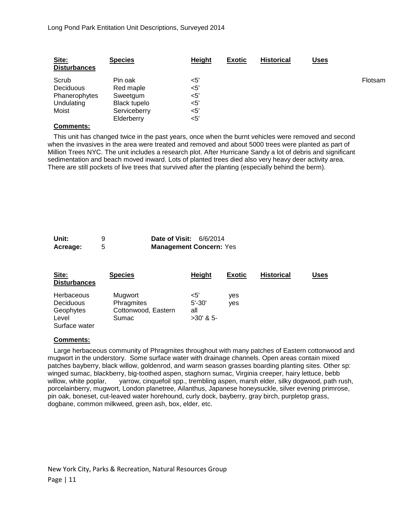| Site:<br><b>Disturbances</b> | <b>Species</b> | Height | <b>Exotic</b> | <b>Historical</b> | Uses |                |
|------------------------------|----------------|--------|---------------|-------------------|------|----------------|
| Scrub                        | Pin oak        | <5'    |               |                   |      | <b>Flotsam</b> |
| <b>Deciduous</b>             | Red maple      | $<$ 5' |               |                   |      |                |
| Phanerophytes                | Sweetgum       | <5'    |               |                   |      |                |
| Undulating                   | Black tupelo   | $<$ 5' |               |                   |      |                |
| Moist                        | Serviceberry   | $<$ 5' |               |                   |      |                |
|                              | Elderberry     | <5'    |               |                   |      |                |

This unit has changed twice in the past years, once when the burnt vehicles were removed and second when the invasives in the area were treated and removed and about 5000 trees were planted as part of Million Trees NYC. The unit includes a research plot. After Hurricane Sandy a lot of debris and significant sedimentation and beach moved inward. Lots of planted trees died also very heavy deer activity area. There are still pockets of live trees that survived after the planting (especially behind the berm).

| Unit:    | <b>Date of Visit: 6/6/2014</b> |
|----------|--------------------------------|
| Acreage: | <b>Management Concern: Yes</b> |

| Site:<br><b>Disturbances</b>                                          | <b>Species</b>                                        | <b>Height</b>                              | <b>Exotic</b> | <b>Historical</b> | Uses |
|-----------------------------------------------------------------------|-------------------------------------------------------|--------------------------------------------|---------------|-------------------|------|
| <b>Herbaceous</b><br>Deciduous<br>Geophytes<br>Level<br>Surface water | Mugwort<br>Phragmites<br>Cottonwood, Eastern<br>Sumac | $<$ 5'<br>$5' - 30'$<br>all<br>$>30'$ & 5- | ves<br>yes    |                   |      |

#### **Comments:**

Large herbaceous community of Phragmites throughout with many patches of Eastern cottonwood and mugwort in the understory. Some surface water with drainage channels. Open areas contain mixed patches bayberry, black willow, goldenrod, and warm season grasses boarding planting sites. Other sp: winged sumac, blackberry, big-toothed aspen, staghorn sumac, Virginia creeper, hairy lettuce, bebb willow, white poplar, yarrow, cinquefoil spp., trembling aspen, marsh elder, silky dogwood, path rush, porcelainberry, mugwort, London planetree, Ailanthus, Japanese honeysuckle, silver evening primrose, pin oak, boneset, cut-leaved water horehound, curly dock, bayberry, gray birch, purpletop grass, dogbane, common milkweed, green ash, box, elder, etc.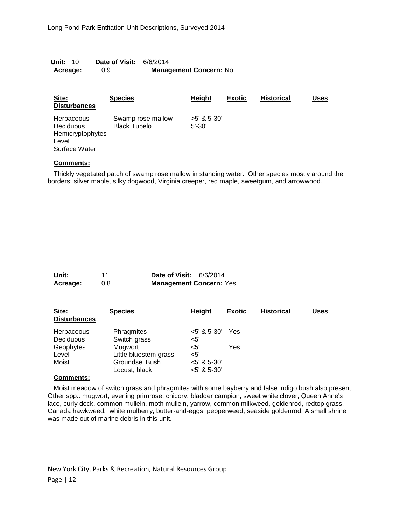| <b>Unit: 1</b> 0 | <b>Date of Visit: 6/6/2014</b> |                               |
|------------------|--------------------------------|-------------------------------|
| Acreage:         | 0.9                            | <b>Management Concern: No</b> |

| Site:<br><b>Disturbances</b>                                          | <b>Species</b>                           | Height                      | <b>Exotic</b> | <b>Historical</b> | Uses |
|-----------------------------------------------------------------------|------------------------------------------|-----------------------------|---------------|-------------------|------|
| Herbaceous<br>Deciduous<br>Hemicryptophytes<br>Level<br>Surface Water | Swamp rose mallow<br><b>Black Tupelo</b> | $>5'$ & 5-30'<br>$5' - 30'$ |               |                   |      |

Thickly vegetated patch of swamp rose mallow in standing water. Other species mostly around the borders: silver maple, silky dogwood, Virginia creeper, red maple, sweetgum, and arrowwood.

| Unit:    |     | <b>Date of Visit: 6/6/2014</b> |  |
|----------|-----|--------------------------------|--|
| Acreage: | 0.8 | <b>Management Concern: Yes</b> |  |

| Site:<br><b>Disturbances</b> | <b>Species</b>        | Height         | <b>Exotic</b> | <b>Historical</b> | Uses |
|------------------------------|-----------------------|----------------|---------------|-------------------|------|
| Herbaceous                   | Phragmites            | $<$ 5' & 5-30' | Yes           |                   |      |
| Deciduous                    | Switch grass          | $<$ 5'         |               |                   |      |
| Geophytes                    | Mugwort               | <5'            | Yes           |                   |      |
| Level                        | Little bluestem grass | $<$ 5'         |               |                   |      |
| Moist                        | Groundsel Bush        | $<$ 5' & 5-30' |               |                   |      |
|                              | Locust, black         | $<$ 5' & 5-30' |               |                   |      |

#### **Comments:**

Moist meadow of switch grass and phragmites with some bayberry and false indigo bush also present. Other spp.: mugwort, evening primrose, chicory, bladder campion, sweet white clover, Queen Anne's lace, curly dock, common mullein, moth mullein, yarrow, common milkweed, goldenrod, redtop grass, Canada hawkweed, white mulberry, butter-and-eggs, pepperweed, seaside goldenrod. A small shrine was made out of marine debris in this unit.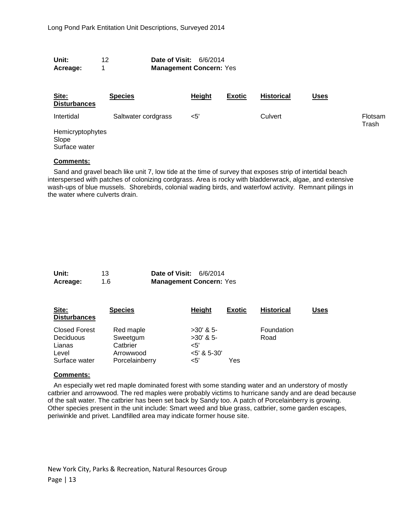| Unit:    | <b>Date of Visit: 6/6/2014</b> |
|----------|--------------------------------|
| Acreage: | <b>Management Concern: Yes</b> |

| Site:<br><b>Disturbances</b>   | <b>Species</b>      | <b>Height</b> | <b>Exotic</b> | <b>Historical</b> | <u>Uses</u> |                  |
|--------------------------------|---------------------|---------------|---------------|-------------------|-------------|------------------|
| Intertidal<br>Hemicryptophytes | Saltwater cordgrass | $<$ 5'        |               | Culvert           |             | Flotsam<br>Trash |
| Slope<br>Surface water         |                     |               |               |                   |             |                  |

Sand and gravel beach like unit 7, low tide at the time of survey that exposes strip of intertidal beach interspersed with patches of colonizing cordgrass. Area is rocky with bladderwrack, algae, and extensive wash-ups of blue mussels. Shorebirds, colonial wading birds, and waterfowl activity. Remnant pilings in the water where culverts drain.

| Unit:    | 13  | <b>Date of Visit: 6/6/2014</b> |  |
|----------|-----|--------------------------------|--|
| Acreage: | 1.6 | <b>Management Concern: Yes</b> |  |

| Site:<br><b>Disturbances</b>      | <b>Species</b>        | <b>Height</b>              | <b>Exotic</b> | <b>Historical</b>  | Uses |
|-----------------------------------|-----------------------|----------------------------|---------------|--------------------|------|
| <b>Closed Forest</b><br>Deciduous | Red maple<br>Sweetgum | $>30'$ & 5-<br>$>30'$ & 5- |               | Foundation<br>Road |      |
| Lianas                            | Catbrier              | $<$ 5'                     |               |                    |      |
| Level                             | Arrowwood             | $<$ 5' & 5-30'             |               |                    |      |
| Surface water                     | Porcelainberry        | $<$ 5'                     | Yes           |                    |      |

#### **Comments:**

An especially wet red maple dominated forest with some standing water and an understory of mostly catbrier and arrowwood. The red maples were probably victims to hurricane sandy and are dead because of the salt water. The catbrier has been set back by Sandy too. A patch of Porcelainberry is growing. Other species present in the unit include: Smart weed and blue grass, catbrier, some garden escapes, periwinkle and privet. Landfilled area may indicate former house site.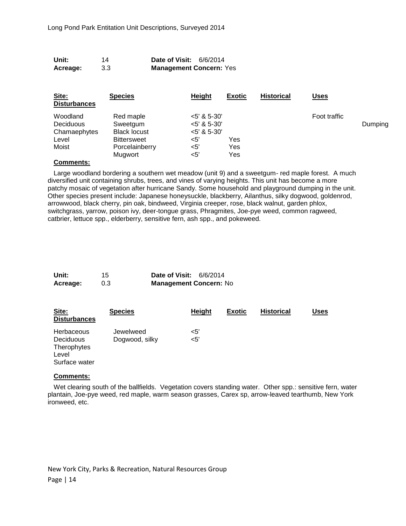| Unit:    | 14  | <b>Date of Visit: 6/6/2014</b> |
|----------|-----|--------------------------------|
| Acreage: | 3.3 | <b>Management Concern: Yes</b> |

| Site:<br><b>Disturbances</b>                 | <b>Species</b>                                  | <b>Height</b>                                      | <b>Exotic</b>     | <b>Historical</b> | <u>Uses</u>  |         |
|----------------------------------------------|-------------------------------------------------|----------------------------------------------------|-------------------|-------------------|--------------|---------|
| Woodland<br><b>Deciduous</b><br>Chamaephytes | Red maple<br>Sweetgum<br><b>Black locust</b>    | $<$ 5' & 5-30'<br>$<$ 5' & 5-30'<br>$<$ 5' & 5-30' |                   |                   | Foot traffic | Dumping |
| Level<br>Moist                               | <b>Bittersweet</b><br>Porcelainberry<br>Mugwort | $<$ 5'<br><5'<br>$<$ 5'                            | Yes<br>Yes<br>Yes |                   |              |         |

Large woodland bordering a southern wet meadow (unit 9) and a sweetgum- red maple forest. A much diversified unit containing shrubs, trees, and vines of varying heights. This unit has become a more patchy mosaic of vegetation after hurricane Sandy. Some household and playground dumping in the unit. Other species present include: Japanese honeysuckle, blackberry, Ailanthus, silky dogwood, goldenrod, arrowwood, black cherry, pin oak, bindweed, Virginia creeper, rose, black walnut, garden phlox, switchgrass, yarrow, poison ivy, deer-tongue grass, Phragmites, Joe-pye weed, common ragweed, catbrier, lettuce spp., elderberry, sensitive fern, ash spp., and pokeweed.

| Unit:    | 15  | <b>Date of Visit: 6/6/2014</b> |  |
|----------|-----|--------------------------------|--|
| Acreage: | 0.3 | <b>Management Concern: No</b>  |  |

| Site:<br><b>Disturbances</b>                                            | <b>Species</b>              | <b>Height</b>    | <b>Exotic</b> | <b>Historical</b> | Uses |
|-------------------------------------------------------------------------|-----------------------------|------------------|---------------|-------------------|------|
| <b>Herbaceous</b><br>Deciduous<br>Therophytes<br>Level<br>Surface water | Jewelweed<br>Dogwood, silky | $<$ 5'<br>$<$ 5' |               |                   |      |

#### **Comments:**

Wet clearing south of the ballfields. Vegetation covers standing water. Other spp.: sensitive fern, water plantain, Joe-pye weed, red maple, warm season grasses, Carex sp, arrow-leaved tearthumb, New York ironweed, etc.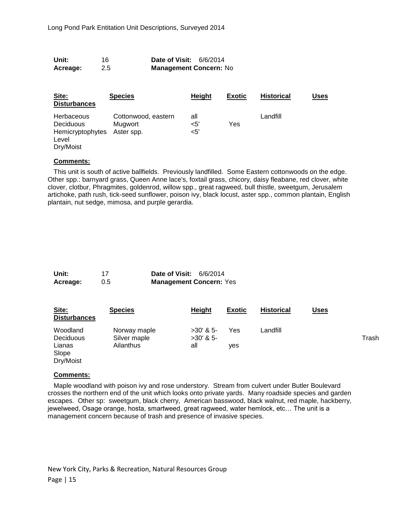| Unit:    | 16  | <b>Date of Visit: 6/6/2014</b> |
|----------|-----|--------------------------------|
| Acreage: | 2.5 | <b>Management Concern: No</b>  |

| Site:<br><b>Disturbances</b>                                      | <b>Species</b>                               | <b>Height</b>         | <b>Exotic</b> | <b>Historical</b> | Uses |
|-------------------------------------------------------------------|----------------------------------------------|-----------------------|---------------|-------------------|------|
| Herbaceous<br>Deciduous<br>Hemicryptophytes<br>Level<br>Dry/Moist | Cottonwood, eastern<br>Mugwort<br>Aster spp. | all<br>$<$ 5'<br>$5'$ | Yes           | Landfill          |      |

This unit is south of active ballfields. Previously landfilled. Some Eastern cottonwoods on the edge. Other spp.: barnyard grass, Queen Anne lace's, foxtail grass, chicory, daisy fleabane, red clover, white clover, clotbur, Phragmites, goldenrod, willow spp., great ragweed, bull thistle, sweetgum, Jerusalem artichoke, path rush, tick-seed sunflower, poison ivy, black locust, aster spp., common plantain, English plantain, nut sedge, mimosa, and purple gerardia.

| Unit:    | 17  | <b>Date of Visit: 6/6/2014</b> |  |
|----------|-----|--------------------------------|--|
| Acreage: | 0.5 | <b>Management Concern: Yes</b> |  |

| Site:<br><b>Disturbances</b> | <b>Species</b>               | Height                     | <b>Exotic</b> | <b>Historical</b> | <u>Uses</u> |       |
|------------------------------|------------------------------|----------------------------|---------------|-------------------|-------------|-------|
| Woodland<br><b>Deciduous</b> | Norway maple<br>Silver maple | $>30'$ & 5-<br>$>30'$ & 5- | Yes           | Landfill          |             | Trash |
| Lianas<br>Slope<br>Dry/Moist | Ailanthus                    | all                        | ves           |                   |             |       |

#### **Comments:**

Maple woodland with poison ivy and rose understory. Stream from culvert under Butler Boulevard crosses the northern end of the unit which looks onto private yards. Many roadside species and garden escapes. Other sp: sweetgum, black cherry, American basswood, black walnut, red maple, hackberry, jewelweed, Osage orange, hosta, smartweed, great ragweed, water hemlock, etc… The unit is a management concern because of trash and presence of invasive species.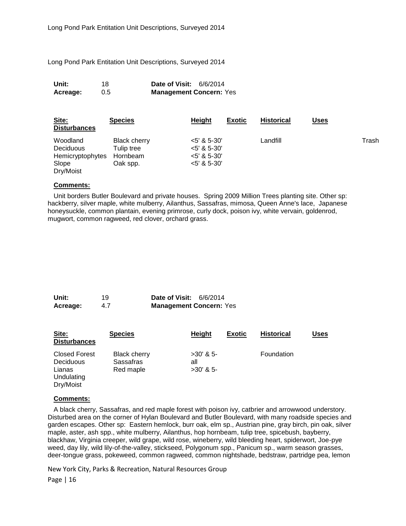Long Pond Park Entitation Unit Descriptions, Surveyed 2014

| Unit:    | 18  | <b>Date of Visit: 6/6/2014</b> |
|----------|-----|--------------------------------|
| Acreage: | 0.5 | <b>Management Concern: Yes</b> |

| Site:<br><b>Disturbances</b>                                           | <b>Species</b>                                            | Height                                                           | <b>Exotic</b> | <b>Historical</b> | Uses |       |
|------------------------------------------------------------------------|-----------------------------------------------------------|------------------------------------------------------------------|---------------|-------------------|------|-------|
| Woodland<br><b>Deciduous</b><br>Hemicryptophytes<br>Slope<br>Dry/Moist | <b>Black cherry</b><br>Tulip tree<br>Hornbeam<br>Oak spp. | $<$ 5' & 5-30'<br>$5'$ & 5-30'<br>$5'$ & 5-30'<br>$<$ 5' & 5-30' |               | Landfill          |      | Trash |

#### **Comments:**

Unit borders Butler Boulevard and private houses. Spring 2009 Million Trees planting site. Other sp: hackberry, silver maple, white mulberry, Ailanthus, Sassafras, mimosa, Queen Anne's lace, Japanese honeysuckle, common plantain, evening primrose, curly dock, poison ivy, white vervain, goldenrod, mugwort, common ragweed, red clover, orchard grass.

| Unit:    | 19  | <b>Date of Visit: 6/6/2014</b> |  |
|----------|-----|--------------------------------|--|
| Acreage: | 4.7 | <b>Management Concern: Yes</b> |  |

| Site:<br><b>Disturbances</b>                                           | <b>Species</b>                                | <b>Height</b>                     | Exotic | <b>Historical</b> | Uses |
|------------------------------------------------------------------------|-----------------------------------------------|-----------------------------------|--------|-------------------|------|
| <b>Closed Forest</b><br>Deciduous<br>Lianas<br>Undulating<br>Dry/Moist | <b>Black cherry</b><br>Sassafras<br>Red maple | $>30'$ & 5-<br>all<br>$>30'$ & 5- |        | Foundation        |      |

#### **Comments:**

A black cherry, Sassafras, and red maple forest with poison ivy, catbrier and arrowwood understory. Disturbed area on the corner of Hylan Boulevard and Butler Boulevard, with many roadside species and garden escapes. Other sp: Eastern hemlock, burr oak, elm sp., Austrian pine, gray birch, pin oak, silver maple, aster, ash spp., white mulberry, Ailanthus, hop hornbeam, tulip tree, spicebush, bayberry, blackhaw, Virginia creeper, wild grape, wild rose, wineberry, wild bleeding heart, spiderwort, Joe-pye weed, day lily, wild lily-of-the-valley, stickseed, Polygonum spp., Panicum sp., warm season grasses, deer-tongue grass, pokeweed, common ragweed, common nightshade, bedstraw, partridge pea, lemon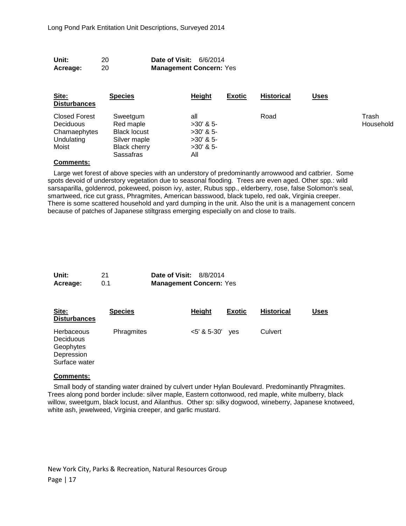| Unit:<br>Acreage:                                                               | 20<br>20                                                                                         | Date of Visit:<br>6/6/2014<br><b>Management Concern: Yes</b>           |               |                   |             |                    |
|---------------------------------------------------------------------------------|--------------------------------------------------------------------------------------------------|------------------------------------------------------------------------|---------------|-------------------|-------------|--------------------|
| Site:<br><b>Disturbances</b>                                                    | <b>Species</b>                                                                                   | <b>Height</b>                                                          | <b>Exotic</b> | <b>Historical</b> | <b>Uses</b> |                    |
| <b>Closed Forest</b><br><b>Deciduous</b><br>Chamaephytes<br>Undulating<br>Moist | Sweetgum<br>Red maple<br><b>Black locust</b><br>Silver maple<br><b>Black cherry</b><br>Sassafras | all<br>$>30'$ & 5-<br>$>30'$ & 5-<br>$>30'$ & 5-<br>$>30'$ & 5-<br>All |               | Road              |             | Trash<br>Household |

Large wet forest of above species with an understory of predominantly arrowwood and catbrier. Some spots devoid of understory vegetation due to seasonal flooding. Trees are even aged. Other spp.: wild sarsaparilla, goldenrod, pokeweed, poison ivy, aster, Rubus spp., elderberry, rose, false Solomon's seal, smartweed, rice cut grass, Phragmites, American basswood, black tupelo, red oak, Virginia creeper. There is some scattered household and yard dumping in the unit. Also the unit is a management concern because of patches of Japanese stiltgrass emerging especially on and close to trails.

| Unit:    |     | <b>Date of Visit: 8/8/2014</b> |  |
|----------|-----|--------------------------------|--|
| Acreage: | 0.1 | <b>Management Concern: Yes</b> |  |

| Site:<br><b>Disturbances</b>                                               | <b>Species</b> | <b>Height</b>  | <b>Exotic</b> | <b>Historical</b> | Uses |
|----------------------------------------------------------------------------|----------------|----------------|---------------|-------------------|------|
| Herbaceous<br><b>Deciduous</b><br>Geophytes<br>Depression<br>Surface water | Phragmites     | $<$ 5' & 5-30' | ves           | Culvert           |      |

#### **Comments:**

Small body of standing water drained by culvert under Hylan Boulevard. Predominantly Phragmites. Trees along pond border include: silver maple, Eastern cottonwood, red maple, white mulberry, black willow, sweetgum, black locust, and Ailanthus. Other sp: silky dogwood, wineberry, Japanese knotweed, white ash, jewelweed, Virginia creeper, and garlic mustard.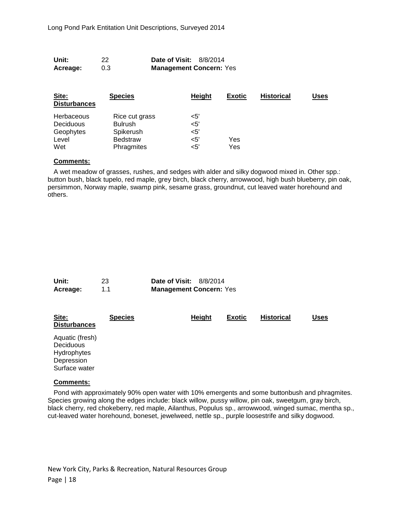| Unit:    | 22  | <b>Date of Visit: 8/8/2014</b> |  |
|----------|-----|--------------------------------|--|
| Acreage: | 0.3 | <b>Management Concern: Yes</b> |  |

| Site:<br><b>Disturbances</b> | <b>Species</b>  | <b>Height</b> | <b>Exotic</b> | <b>Historical</b> | Uses |
|------------------------------|-----------------|---------------|---------------|-------------------|------|
| Herbaceous                   | Rice cut grass  | $<$ 5'        |               |                   |      |
| <b>Deciduous</b>             | <b>Bulrush</b>  | $<$ 5'        |               |                   |      |
| Geophytes                    | Spikerush       | $<$ 5'        |               |                   |      |
| Level                        | <b>Bedstraw</b> | $<$ 5'        | Yes           |                   |      |
| Wet                          | Phragmites      | $<$ 5'        | Yes           |                   |      |

A wet meadow of grasses, rushes, and sedges with alder and silky dogwood mixed in. Other spp.: button bush, black tupelo, red maple, grey birch, black cherry, arrowwood, high bush blueberry, pin oak, persimmon, Norway maple, swamp pink, sesame grass, groundnut, cut leaved water horehound and others.

| Unit:    | 23  | <b>Date of Visit: 8/8/2014</b> |  |
|----------|-----|--------------------------------|--|
| Acreage: | 1.1 | <b>Management Concern: Yes</b> |  |

| Site:<br><b>Disturbances</b>                                                      | <b>Species</b> | Height | <b>Exotic</b> | <b>Historical</b> | Uses |
|-----------------------------------------------------------------------------------|----------------|--------|---------------|-------------------|------|
| Aquatic (fresh)<br><b>Deciduous</b><br>Hydrophytes<br>Depression<br>Surface water |                |        |               |                   |      |

#### **Comments:**

Pond with approximately 90% open water with 10% emergents and some buttonbush and phragmites. Species growing along the edges include: black willow, pussy willow, pin oak, sweetgum, gray birch, black cherry, red chokeberry, red maple, Ailanthus, Populus sp., arrowwood, winged sumac, mentha sp., cut-leaved water horehound, boneset, jewelweed, nettle sp., purple loosestrife and silky dogwood.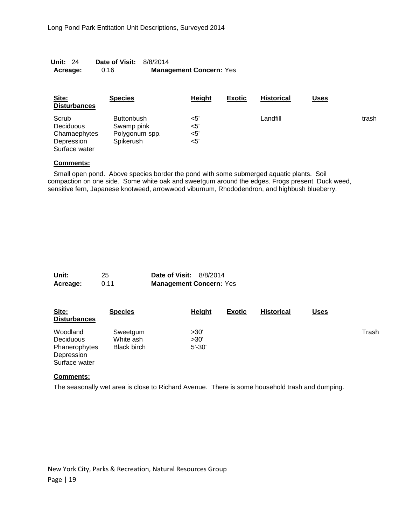| <b>Unit: 24</b> | <b>Date of Visit: 8/8/2014</b> |                                |
|-----------------|--------------------------------|--------------------------------|
| Acreage:        | 0.16                           | <b>Management Concern: Yes</b> |

| Site:<br><b>Disturbances</b>                                             | <b>Species</b>                                                        | Height                            | <b>Exotic</b> | <b>Historical</b> | <u>Uses</u> |       |
|--------------------------------------------------------------------------|-----------------------------------------------------------------------|-----------------------------------|---------------|-------------------|-------------|-------|
| Scrub<br><b>Deciduous</b><br>Chamaephytes<br>Depression<br>Surface water | <b>Buttonbush</b><br>Swamp pink<br>Polygonum spp.<br><b>Spikerush</b> | <5'<br>$<$ 5'<br>$<$ 5'<br>$<$ 5' |               | Landfill          |             | trash |

Small open pond. Above species border the pond with some submerged aquatic plants. Soil compaction on one side. Some white oak and sweetgum around the edges. Frogs present. Duck weed, sensitive fern, Japanese knotweed, arrowwood viburnum, Rhododendron, and highbush blueberry.

| Unit:    | 25   | <b>Date of Visit: 8/8/2014</b> |  |
|----------|------|--------------------------------|--|
| Acreage: | 0.11 | <b>Management Concern: Yes</b> |  |

| Site:<br><b>Disturbances</b> | <b>Species</b>     | Height     | <b>Exotic</b> | <b>Historical</b> | <b>Uses</b> |       |
|------------------------------|--------------------|------------|---------------|-------------------|-------------|-------|
| Woodland                     | Sweetgum           | >30'       |               |                   |             | Trash |
| <b>Deciduous</b>             | White ash          | >30'       |               |                   |             |       |
| Phanerophytes                | <b>Black birch</b> | $5' - 30'$ |               |                   |             |       |
| Depression                   |                    |            |               |                   |             |       |
| Surface water                |                    |            |               |                   |             |       |

#### **Comments:**

The seasonally wet area is close to Richard Avenue. There is some household trash and dumping.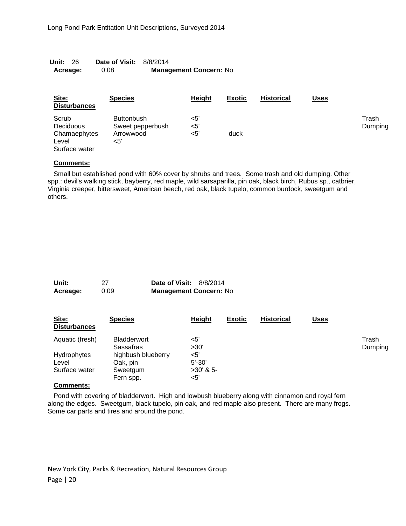| <b>Unit: 26</b> | <b>Date of Visit: 8/8/2014</b> |                               |
|-----------------|--------------------------------|-------------------------------|
| Acreage:        | 0.08                           | <b>Management Concern: No</b> |

| Site:<br><b>Disturbances</b>                                 | <b>Species</b>                                            | <b>Height</b>     | <b>Exotic</b> | <b>Historical</b> | <u>Uses</u> |                  |
|--------------------------------------------------------------|-----------------------------------------------------------|-------------------|---------------|-------------------|-------------|------------------|
| Scrub<br>Deciduous<br>Chamaephytes<br>Level<br>Surface water | <b>Buttonbush</b><br>Sweet pepperbush<br>Arrowwood<br><5' | <5'<br><5'<br><5' | duck          |                   |             | Trash<br>Dumping |

Small but established pond with 60% cover by shrubs and trees. Some trash and old dumping. Other spp.: devil's walking stick, bayberry, red maple, wild sarsaparilla, pin oak, black birch, Rubus sp., catbrier, Virginia creeper, bittersweet, American beech, red oak, black tupelo, common burdock, sweetgum and others.

| Unit:    | 27   | <b>Date of Visit: 8/8/2014</b> |  |
|----------|------|--------------------------------|--|
| Acreage: | 0.09 | <b>Management Concern: No</b>  |  |

| Site:<br><b>Disturbances</b> | <b>Species</b>                  | Height      | <b>Exotic</b> | <b>Historical</b> | <u>Uses</u> |                  |
|------------------------------|---------------------------------|-------------|---------------|-------------------|-------------|------------------|
| Aquatic (fresh)              | <b>Bladderwort</b><br>Sassafras | <5'<br>>30' |               |                   |             | Trash<br>Dumping |
| Hydrophytes                  | highbush blueberry              | <5'         |               |                   |             |                  |
| Level                        | Oak, pin                        | $5' - 30'$  |               |                   |             |                  |
| Surface water                | Sweetgum                        | $>30'$ & 5- |               |                   |             |                  |
|                              | Fern spp.                       | <5'         |               |                   |             |                  |

#### **Comments:**

Pond with covering of bladderwort. High and lowbush blueberry along with cinnamon and royal fern along the edges. Sweetgum, black tupelo, pin oak, and red maple also present. There are many frogs. Some car parts and tires and around the pond.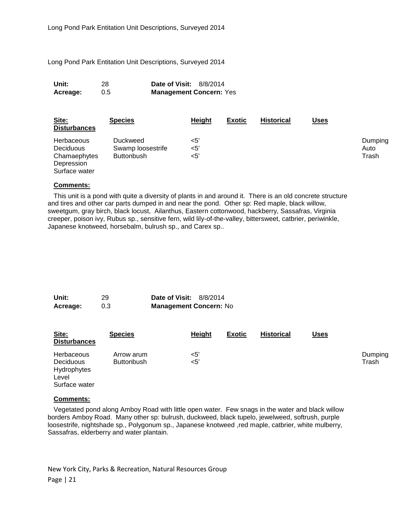Long Pond Park Entitation Unit Descriptions, Surveyed 2014

| Unit:    | 28  | <b>Date of Visit: 8/8/2014</b> |  |
|----------|-----|--------------------------------|--|
| Acreage: | 0.5 | <b>Management Concern: Yes</b> |  |

| Site:<br><b>Disturbances</b>                                                  | <b>Species</b>                                            | <b>Height</b>     | <b>Exotic</b> | <b>Historical</b> | <u>Uses</u> |                          |
|-------------------------------------------------------------------------------|-----------------------------------------------------------|-------------------|---------------|-------------------|-------------|--------------------------|
| Herbaceous<br><b>Deciduous</b><br>Chamaephytes<br>Depression<br>Surface water | <b>Duckweed</b><br>Swamp loosestrife<br><b>Buttonbush</b> | <5'<br><5'<br><5' |               |                   |             | Dumping<br>Auto<br>Trash |

#### **Comments:**

This unit is a pond with quite a diversity of plants in and around it. There is an old concrete structure and tires and other car parts dumped in and near the pond. Other sp: Red maple, black willow, sweetgum, gray birch, black locust, Ailanthus, Eastern cottonwood, hackberry, Sassafras, Virginia creeper, poison ivy, Rubus sp., sensitive fern, wild lily-of-the-valley, bittersweet, catbrier, periwinkle, Japanese knotweed, horsebalm, bulrush sp., and Carex sp..

| Unit:    | 29  | <b>Date of Visit: 8/8/2014</b> |  |
|----------|-----|--------------------------------|--|
| Acreage: | 0.3 | <b>Management Concern: No</b>  |  |

| Site:<br><b>Disturbances</b>                                                   | <b>Species</b>                  | <b>Height</b> | <b>Exotic</b> | <b>Historical</b> | <u>Uses</u> |                  |
|--------------------------------------------------------------------------------|---------------------------------|---------------|---------------|-------------------|-------------|------------------|
| <b>Herbaceous</b><br><b>Deciduous</b><br>Hydrophytes<br>Level<br>Surface water | Arrow arum<br><b>Buttonbush</b> | <5'<br>$<$ 5' |               |                   |             | Dumping<br>Trash |

#### **Comments:**

Vegetated pond along Amboy Road with little open water. Few snags in the water and black willow borders Amboy Road. Many other sp: bulrush, duckweed, black tupelo, jewelweed, softrush, purple loosestrife, nightshade sp., Polygonum sp., Japanese knotweed ,red maple, catbrier, white mulberry, Sassafras, elderberry and water plantain.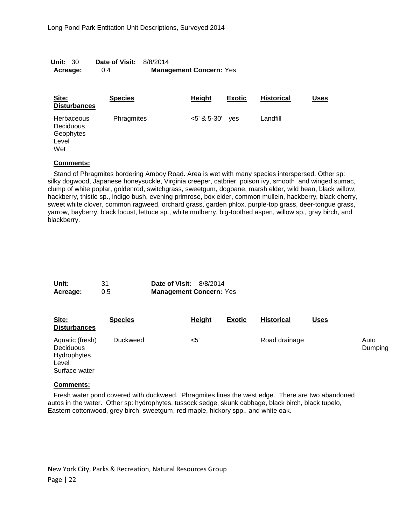| <b>Unit: 30</b> | <b>Date of Visit: 8/8/2014</b> |                                |
|-----------------|--------------------------------|--------------------------------|
| Acreage:        | 0.4                            | <b>Management Concern: Yes</b> |

| Site:<br><b>Disturbances</b>                         | <b>Species</b> | <b>Height</b> | <b>Exotic</b> | <b>Historical</b> | Uses |
|------------------------------------------------------|----------------|---------------|---------------|-------------------|------|
| Herbaceous<br>Deciduous<br>Geophytes<br>Level<br>Wet | Phragmites     | $<5'$ & 5-30' | ves           | Landfill          |      |

Stand of Phragmites bordering Amboy Road. Area is wet with many species interspersed. Other sp: silky dogwood, Japanese honeysuckle, Virginia creeper, catbrier, poison ivy, smooth and winged sumac, clump of white poplar, goldenrod, switchgrass, sweetgum, dogbane, marsh elder, wild bean, black willow, hackberry, thistle sp., indigo bush, evening primrose, box elder, common mullein, hackberry, black cherry, sweet white clover, common ragweed, orchard grass, garden phlox, purple-top grass, deer-tongue grass, yarrow, bayberry, black locust, lettuce sp., white mulberry, big-toothed aspen, willow sp., gray birch, and blackberry.

| Unit:    | 31  | <b>Date of Visit: 8/8/2014</b> |  |
|----------|-----|--------------------------------|--|
| Acreage: | 0.5 | <b>Management Concern: Yes</b> |  |

| Site:<br><b>Disturbances</b>                                          | <b>Species</b>  | Height | <b>Exotic</b> | <b>Historical</b> | <u>Uses</u> |                 |
|-----------------------------------------------------------------------|-----------------|--------|---------------|-------------------|-------------|-----------------|
| Aquatic (fresh)<br>Deciduous<br>Hydrophytes<br>Level<br>Surface water | <b>Duckweed</b> | <5'    |               | Road drainage     |             | Auto<br>Dumping |

#### **Comments:**

Fresh water pond covered with duckweed. Phragmites lines the west edge. There are two abandoned autos in the water. Other sp: hydrophytes, tussock sedge, skunk cabbage, black birch, black tupelo, Eastern cottonwood, grey birch, sweetgum, red maple, hickory spp., and white oak.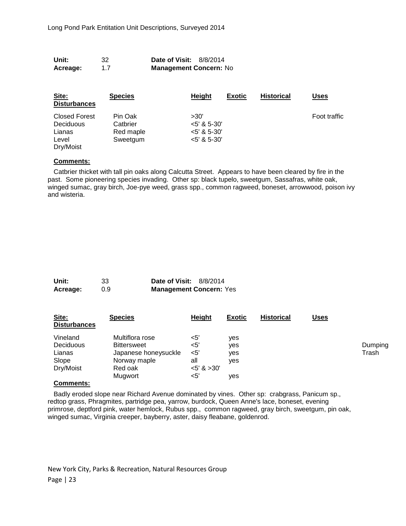| Acreage:<br>1.7 | <b>Management Concern: No</b>  |  |
|-----------------|--------------------------------|--|
| Unit:<br>32     | <b>Date of Visit: 8/8/2014</b> |  |

| Site:<br><b>Disturbances</b>                                             | <b>Species</b>                               | <b>Height</b>                                        | <b>Exotic</b> | <b>Historical</b> | Uses         |
|--------------------------------------------------------------------------|----------------------------------------------|------------------------------------------------------|---------------|-------------------|--------------|
| <b>Closed Forest</b><br><b>Deciduous</b><br>Lianas<br>Level<br>Dry/Moist | Pin Oak<br>Catbrier<br>Red maple<br>Sweetgum | >30'<br>$5'$ & 5-30'<br>$5'$ & 5-30'<br>$5'$ & 5-30' |               |                   | Foot traffic |

Catbrier thicket with tall pin oaks along Calcutta Street. Appears to have been cleared by fire in the past. Some pioneering species invading. Other sp: black tupelo, sweetgum, Sassafras, white oak, winged sumac, gray birch, Joe-pye weed, grass spp., common ragweed, boneset, arrowwood, poison ivy and wisteria.

| Unit:    | 33  | <b>Date of Visit: 8/8/2014</b> |  |
|----------|-----|--------------------------------|--|
| Acreage: | 0.9 | <b>Management Concern: Yes</b> |  |

| Site:<br><b>Disturbances</b> | <b>Species</b>       | Height        | <b>Exotic</b> | <b>Historical</b> | Uses |         |
|------------------------------|----------------------|---------------|---------------|-------------------|------|---------|
| Vineland                     | Multiflora rose      | <5'           | ves           |                   |      |         |
| Deciduous                    | <b>Bittersweet</b>   | <5'           | ves           |                   |      | Dumping |
| Lianas                       | Japanese honeysuckle | <5'           | ves           |                   |      | Trash   |
| Slope                        | Norway maple         | all           | ves           |                   |      |         |
| Dry/Moist                    | Red oak              | $5'$ & $>30'$ |               |                   |      |         |
|                              | Mugwort              | $<$ 5'        | ves           |                   |      |         |
|                              |                      |               |               |                   |      |         |

#### **Comments:**

Badly eroded slope near Richard Avenue dominated by vines. Other sp: crabgrass, Panicum sp., redtop grass, Phragmites, partridge pea, yarrow, burdock, Queen Anne's lace, boneset, evening primrose, deptford pink, water hemlock, Rubus spp., common ragweed, gray birch, sweetgum, pin oak, winged sumac, Virginia creeper, bayberry, aster, daisy fleabane, goldenrod.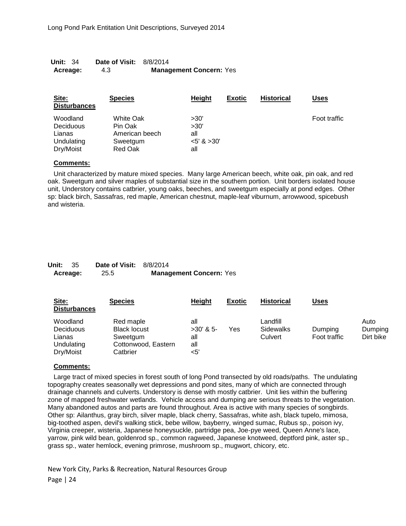| <b>Unit: 34</b> | <b>Date of Visit: 8/8/2014</b> |                                |
|-----------------|--------------------------------|--------------------------------|
| Acreage:        | 4.3                            | <b>Management Concern: Yes</b> |

| Site:<br><b>Disturbances</b> | <b>Species</b> | Height           | <b>Exotic</b> | <b>Historical</b> | Uses         |
|------------------------------|----------------|------------------|---------------|-------------------|--------------|
| Woodland                     | White Oak      | >30'             |               |                   | Foot traffic |
| <b>Deciduous</b>             | Pin Oak        | >30'             |               |                   |              |
| Lianas                       | American beech | all              |               |                   |              |
| Undulating                   | Sweetgum       | $<$ 5' & $>$ 30' |               |                   |              |
| Dry/Moist                    | Red Oak        | all              |               |                   |              |

Unit characterized by mature mixed species. Many large American beech, white oak, pin oak, and red oak. Sweetgum and silver maples of substantial size in the southern portion. Unit borders isolated house unit, Understory contains catbrier, young oaks, beeches, and sweetgum especially at pond edges. Other sp: black birch, Sassafras, red maple, American chestnut, maple-leaf viburnum, arrowwood, spicebush and wisteria.

| <b>Unit: 35</b> | <b>Date of Visit: 8/8/2014</b> |                                |
|-----------------|--------------------------------|--------------------------------|
| Acreage:        | 25.5                           | <b>Management Concern: Yes</b> |

| Site:<br><b>Disturbances</b>                                      | <b>Species</b>                                                                  | Height                                  | <b>Exotic</b> | <b>Historical</b>                       | Uses                    |                              |
|-------------------------------------------------------------------|---------------------------------------------------------------------------------|-----------------------------------------|---------------|-----------------------------------------|-------------------------|------------------------------|
| Woodland<br><b>Deciduous</b><br>Lianas<br>Undulating<br>Dry/Moist | Red maple<br><b>Black locust</b><br>Sweetgum<br>Cottonwood, Eastern<br>Catbrier | all<br>$>30'$ & 5-<br>all<br>all<br><5' | Yes           | Landfill<br><b>Sidewalks</b><br>Culvert | Dumping<br>Foot traffic | Auto<br>Dumping<br>Dirt bike |

#### **Comments:**

Large tract of mixed species in forest south of long Pond transected by old roads/paths. The undulating topography creates seasonally wet depressions and pond sites, many of which are connected through drainage channels and culverts. Understory is dense with mostly catbrier. Unit lies within the buffering zone of mapped freshwater wetlands. Vehicle access and dumping are serious threats to the vegetation. Many abandoned autos and parts are found throughout. Area is active with many species of songbirds. Other sp: Ailanthus, gray birch, silver maple, black cherry, Sassafras, white ash, black tupelo, mimosa, big-toothed aspen, devil's walking stick, bebe willow, bayberry, winged sumac, Rubus sp., poison ivy, Virginia creeper, wisteria, Japanese honeysuckle, partridge pea, Joe-pye weed, Queen Anne's lace, yarrow, pink wild bean, goldenrod sp., common ragweed, Japanese knotweed, deptford pink, aster sp., grass sp., water hemlock, evening primrose, mushroom sp., mugwort, chicory, etc.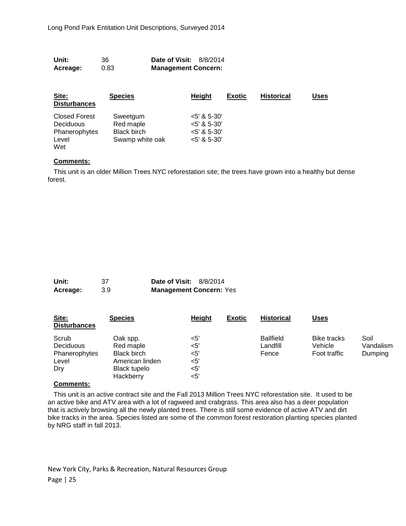| Unit:    | 36   | <b>Date of Visit: 8/8/2014</b> |
|----------|------|--------------------------------|
| Acreage: | 0.83 | <b>Management Concern:</b>     |

| Site:<br><b>Disturbances</b> | <b>Species</b>     | <b>Height</b>  | <b>Exotic</b> | <b>Historical</b> | Uses |
|------------------------------|--------------------|----------------|---------------|-------------------|------|
| <b>Closed Forest</b>         | Sweetgum           | $<$ 5' & 5-30' |               |                   |      |
| <b>Deciduous</b>             | Red maple          | $<$ 5' & 5-30' |               |                   |      |
| Phanerophytes                | <b>Black birch</b> | $5'$ & 5-30'   |               |                   |      |
| Level                        | Swamp white oak    | $5'$ & 5-30'   |               |                   |      |
| Wet                          |                    |                |               |                   |      |

This unit is an older Million Trees NYC reforestation site; the trees have grown into a healthy but dense forest.

| Unit:    |     | <b>Date of Visit: 8/8/2014</b> |
|----------|-----|--------------------------------|
| Acreage: | 3.9 | <b>Management Concern: Yes</b> |

| Site:<br><b>Disturbances</b>                        | <b>Species</b>                                                                              | Height                                 | <b>Exotic</b> | <b>Historical</b>                     | <b>Uses</b>                                   |                              |
|-----------------------------------------------------|---------------------------------------------------------------------------------------------|----------------------------------------|---------------|---------------------------------------|-----------------------------------------------|------------------------------|
| Scrub<br>Deciduous<br>Phanerophytes<br>Level<br>Dry | Oak spp.<br>Red maple<br><b>Black birch</b><br>American linden<br>Black tupelo<br>Hackberry | <5'<br><5'<br><5'<br><5'<br><5'<br><5' |               | <b>Ballfield</b><br>Landfill<br>Fence | <b>Bike tracks</b><br>Vehicle<br>Foot traffic | Soil<br>Vandalism<br>Dumping |

#### **Comments:**

This unit is an active contract site and the Fall 2013 Million Trees NYC reforestation site. It used to be an active bike and ATV area with a lot of ragweed and crabgrass. This area also has a deer population that is actively browsing all the newly planted trees. There is still some evidence of active ATV and dirt bike tracks in the area. Species listed are some of the common forest restoration planting species planted by NRG staff in fall 2013.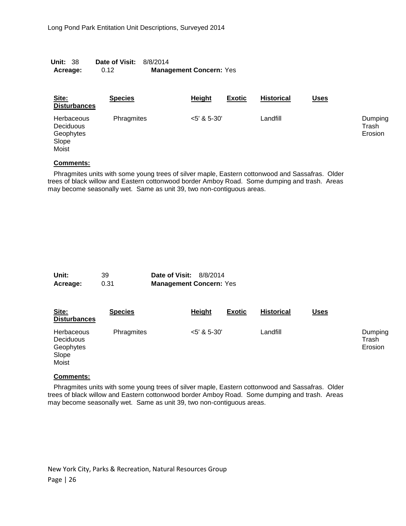| <b>Unit: 38</b> | <b>Date of Visit: 8/8/2014</b> |                                |
|-----------------|--------------------------------|--------------------------------|
| Acreage:        | 0.12                           | <b>Management Concern: Yes</b> |

| Site:<br><b>Disturbances</b>                                  | <b>Species</b> | Height         | <b>Exotic</b> | <b>Historical</b> | <b>Uses</b> |                             |
|---------------------------------------------------------------|----------------|----------------|---------------|-------------------|-------------|-----------------------------|
| <b>Herbaceous</b><br>Deciduous<br>Geophytes<br>Slope<br>Moist | Phragmites     | $<$ 5' & 5-30' |               | Landfill          |             | Dumping<br>Trash<br>Erosion |

Phragmites units with some young trees of silver maple, Eastern cottonwood and Sassafras. Older trees of black willow and Eastern cottonwood border Amboy Road. Some dumping and trash. Areas may become seasonally wet. Same as unit 39, two non-contiguous areas.

| Unit:    | 39   | <b>Date of Visit: 8/8/2014</b> |  |
|----------|------|--------------------------------|--|
| Acreage: | 0.31 | <b>Management Concern: Yes</b> |  |

| Site:<br><b>Disturbances</b>                           | <b>Species</b> | Height         | <b>Exotic</b> | <b>Historical</b> | <u>Uses</u> |                             |
|--------------------------------------------------------|----------------|----------------|---------------|-------------------|-------------|-----------------------------|
| Herbaceous<br>Deciduous<br>Geophytes<br>Slope<br>Moist | Phragmites     | $<$ 5' & 5-30' |               | Landfill          |             | Dumping<br>Trash<br>Erosion |

#### **Comments:**

Phragmites units with some young trees of silver maple, Eastern cottonwood and Sassafras. Older trees of black willow and Eastern cottonwood border Amboy Road. Some dumping and trash. Areas may become seasonally wet. Same as unit 39, two non-contiguous areas.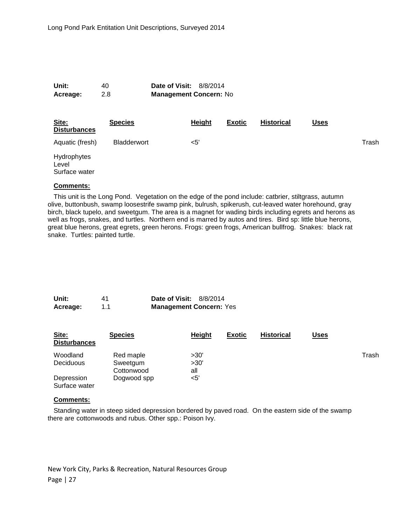**Unit:** 40 **Date of Visit:** 8/8/2014 **Acreage:** 2.8 **Management Concern:** No

| Site:<br><b>Disturbances</b>          | <b>Species</b> | Height | <b>Exotic</b> | <b>Historical</b> | <u>Uses</u> |       |
|---------------------------------------|----------------|--------|---------------|-------------------|-------------|-------|
| Aquatic (fresh)                       | Bladderwort    | $<$ 5' |               |                   |             | Trash |
| Hydrophytes<br>Level<br>Surface water |                |        |               |                   |             |       |

#### **Comments:**

This unit is the Long Pond. Vegetation on the edge of the pond include: catbrier, stiltgrass, autumn olive, buttonbush, swamp loosestrife swamp pink, bulrush, spikerush, cut-leaved water horehound, gray birch, black tupelo, and sweetgum. The area is a magnet for wading birds including egrets and herons as well as frogs, snakes, and turtles. Northern end is marred by autos and tires. Bird sp: little blue herons, great blue herons, great egrets, green herons. Frogs: green frogs, American bullfrog. Snakes: black rat snake. Turtles: painted turtle.

| Unit:    | 41  | <b>Date of Visit: 8/8/2014</b> |
|----------|-----|--------------------------------|
| Acreage: | 1.1 | <b>Management Concern: Yes</b> |

| Site:<br><b>Disturbances</b> | <b>Species</b>                      | Height              | <b>Exotic</b> | <b>Historical</b> | <u>Uses</u> |       |
|------------------------------|-------------------------------------|---------------------|---------------|-------------------|-------------|-------|
| Woodland<br>Deciduous        | Red maple<br>Sweetgum<br>Cottonwood | >30'<br>>30'<br>all |               |                   |             | Trash |
| Depression<br>Surface water  | Dogwood spp                         | <5'                 |               |                   |             |       |

#### **Comments:**

Standing water in steep sided depression bordered by paved road. On the eastern side of the swamp there are cottonwoods and rubus. Other spp.: Poison Ivy.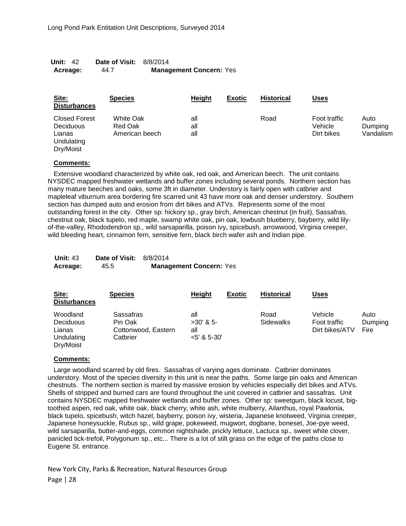| Unit: 42 | <b>Date of Visit: 8/8/2014</b> |                                |
|----------|--------------------------------|--------------------------------|
| Acreage: | 44.7                           | <b>Management Concern: Yes</b> |

| Site:<br><b>Disturbances</b>                                                  | <b>Species</b>                         | <b>Height</b>     | <b>Exotic</b> | <b>Historical</b> | <u>Uses</u>                           |                              |
|-------------------------------------------------------------------------------|----------------------------------------|-------------------|---------------|-------------------|---------------------------------------|------------------------------|
| <b>Closed Forest</b><br><b>Deciduous</b><br>Lianas<br>Undulating<br>Dry/Moist | White Oak<br>Red Oak<br>American beech | all<br>all<br>all |               | Road              | Foot traffic<br>Vehicle<br>Dirt bikes | Auto<br>Dumping<br>Vandalism |

Extensive woodland characterized by white oak, red oak, and American beech. The unit contains NYSDEC mapped freshwater wetlands and buffer zones including several ponds. Northern section has many mature beeches and oaks, some 3ft in diameter. Understory is fairly open with catbrier and mapleleaf viburnum area bordering fire scarred unit 43 have more oak and denser understory. Southern section has dumped auto and erosion from dirt bikes and ATVs. Represents some of the most outstanding forest in the city. Other sp: hickory sp., gray birch, American chestnut (in fruit), Sassafras, chestnut oak, black tupelo, red maple, swamp white oak, pin oak, lowbush blueberry, bayberry, wild lilyof-the-valley, Rhododendron sp., wild sarsaparilla, poison ivy, spicebush, arrowwood, Virginia creeper, wild bleeding heart, cinnamon fern, sensitive fern, black birch wafer ash and Indian pipe.

| <b>Unit: 43</b> | <b>Date of Visit: 8/8/2014</b> |                                |
|-----------------|--------------------------------|--------------------------------|
| Acreage:        | 45.5                           | <b>Management Concern: Yes</b> |

| Site:<br><b>Disturbances</b>                                      | <b>Species</b>                                          | Height                                    | <b>Exotic</b> | <b>Historical</b>        | <u>Uses</u>                               |                         |
|-------------------------------------------------------------------|---------------------------------------------------------|-------------------------------------------|---------------|--------------------------|-------------------------------------------|-------------------------|
| Woodland<br><b>Deciduous</b><br>Lianas<br>Undulating<br>Dry/Moist | Sassafras<br>Pin Oak<br>Cottonwood, Eastern<br>Catbrier | all<br>$>30'$ & 5-<br>all<br>$5'$ & 5-30' |               | Road<br><b>Sidewalks</b> | Vehicle<br>Foot traffic<br>Dirt bikes/ATV | Auto<br>Dumping<br>Fire |

#### **Comments:**

Large woodland scarred by old fires. Sassafras of varying ages dominate. Catbrier dominates understory. Most of the species diversity in this unit is near the paths. Some large pin oaks and American chestnuts. The northern section is marred by massive erosion by vehicles especially dirt bikes and ATVs. Shells of stripped and burned cars are found throughout the unit covered in catbrier and sassafras. Unit contains NYSDEC mapped freshwater wetlands and buffer zones. Other sp: sweetgum, black locust, bigtoothed aspen, red oak, white oak, black cherry, white ash, white mulberry, Ailanthus, royal Pawlonia, black tupelo, spicebush, witch hazel, bayberry, poison ivy, wisteria, Japanese knotweed, Virginia creeper, Japanese honeysuckle, Rubus sp., wild grape, pokeweed, mugwort, dogbane, boneset, Joe-pye weed, wild sarsaparilla, butter-and-eggs, common nightshade, prickly lettuce, Lactuca sp., sweet white clover, panicled tick-trefoil, Polygonum sp., etc... There is a lot of stilt grass on the edge of the paths close to Eugene St. entrance.